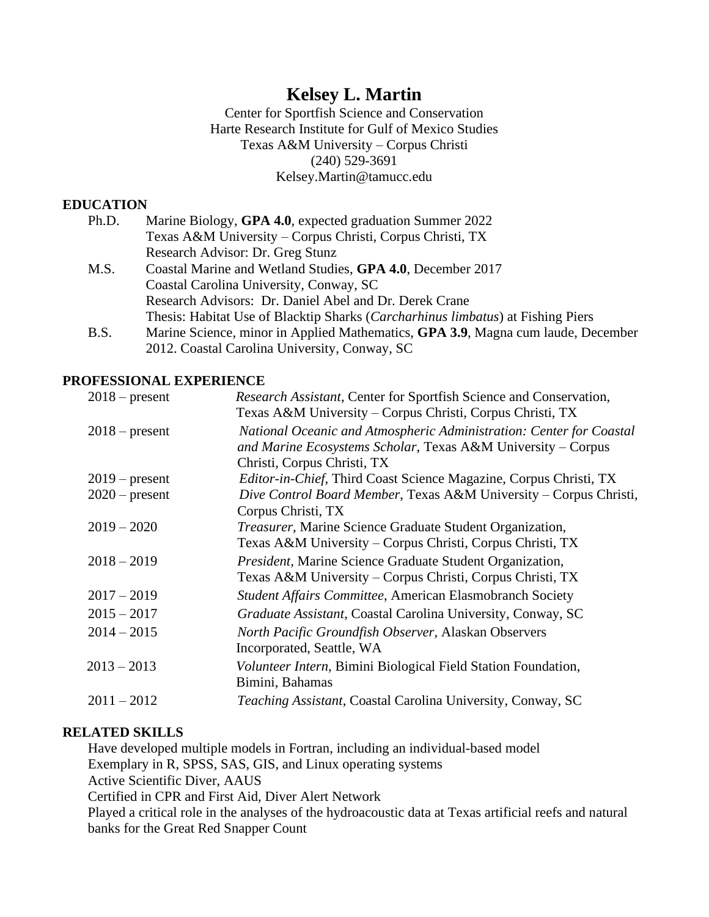# **Kelsey L. Martin**

Center for Sportfish Science and Conservation Harte Research Institute for Gulf of Mexico Studies Texas A&M University – Corpus Christi (240) 529-3691 Kelsey.Martin@tamucc.edu

# **EDUCATION**

| Ph.D. | Marine Biology, GPA 4.0, expected graduation Summer 2022                                 |
|-------|------------------------------------------------------------------------------------------|
|       | Texas A&M University – Corpus Christi, Corpus Christi, TX                                |
|       | Research Advisor: Dr. Greg Stunz                                                         |
| M.S.  | Coastal Marine and Wetland Studies, GPA 4.0, December 2017                               |
|       | Coastal Carolina University, Conway, SC                                                  |
|       | Research Advisors: Dr. Daniel Abel and Dr. Derek Crane                                   |
|       | Thesis: Habitat Use of Blacktip Sharks ( <i>Carcharhinus limbatus</i> ) at Fishing Piers |
| B.S.  | Marine Science, minor in Applied Mathematics, GPA 3.9, Magna cum laude, December         |
|       | 2012. Coastal Carolina University, Conway, SC                                            |

## **PROFESSIONAL EXPERIENCE**

| $2018$ – present | Research Assistant, Center for Sportfish Science and Conservation,<br>Texas A&M University – Corpus Christi, Corpus Christi, TX                                    |
|------------------|--------------------------------------------------------------------------------------------------------------------------------------------------------------------|
| $2018$ – present | National Oceanic and Atmospheric Administration: Center for Coastal<br>and Marine Ecosystems Scholar, Texas A&M University - Corpus<br>Christi, Corpus Christi, TX |
| $2019$ – present | <i>Editor-in-Chief, Third Coast Science Magazine, Corpus Christi, TX</i>                                                                                           |
| $2020$ – present | Dive Control Board Member, Texas A&M University – Corpus Christi,<br>Corpus Christi, TX                                                                            |
| $2019 - 2020$    | <i>Treasurer</i> , Marine Science Graduate Student Organization,<br>Texas A&M University - Corpus Christi, Corpus Christi, TX                                      |
| $2018 - 2019$    | President, Marine Science Graduate Student Organization,<br>Texas A&M University - Corpus Christi, Corpus Christi, TX                                              |
| $2017 - 2019$    | Student Affairs Committee, American Elasmobranch Society                                                                                                           |
| $2015 - 2017$    | Graduate Assistant, Coastal Carolina University, Conway, SC                                                                                                        |
| $2014 - 2015$    | North Pacific Groundfish Observer, Alaskan Observers<br>Incorporated, Seattle, WA                                                                                  |
| $2013 - 2013$    | <i>Volunteer Intern</i> , Bimini Biological Field Station Foundation,<br>Bimini, Bahamas                                                                           |
| $2011 - 2012$    | <i>Teaching Assistant, Coastal Carolina University, Conway, SC</i>                                                                                                 |

## **RELATED SKILLS**

Have developed multiple models in Fortran, including an individual-based model Exemplary in R, SPSS, SAS, GIS, and Linux operating systems Active Scientific Diver, AAUS Certified in CPR and First Aid, Diver Alert Network Played a critical role in the analyses of the hydroacoustic data at Texas artificial reefs and natural

banks for the Great Red Snapper Count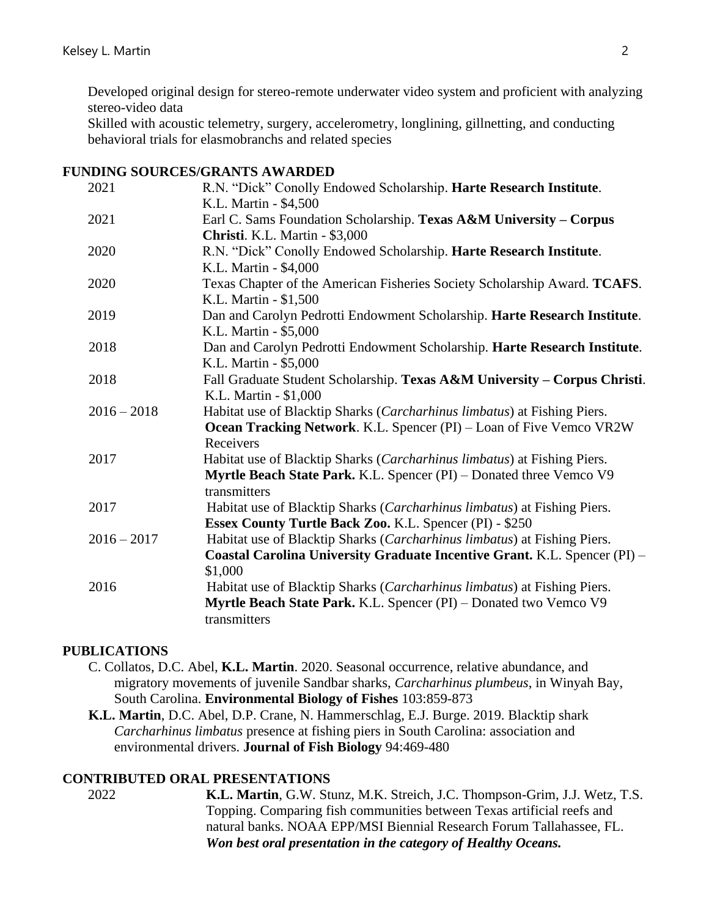Developed original design for stereo-remote underwater video system and proficient with analyzing stereo-video data

Skilled with acoustic telemetry, surgery, accelerometry, longlining, gillnetting, and conducting behavioral trials for elasmobranchs and related species

#### **FUNDING SOURCES/GRANTS AWARDED**

| 2021          | R.N. "Dick" Conolly Endowed Scholarship. Harte Research Institute.        |
|---------------|---------------------------------------------------------------------------|
|               | K.L. Martin - \$4,500                                                     |
| 2021          | Earl C. Sams Foundation Scholarship. Texas A&M University - Corpus        |
|               | Christi. K.L. Martin - \$3,000                                            |
| 2020          | R.N. "Dick" Conolly Endowed Scholarship. Harte Research Institute.        |
|               | K.L. Martin - \$4,000                                                     |
| 2020          | Texas Chapter of the American Fisheries Society Scholarship Award. TCAFS. |
|               | K.L. Martin - \$1,500                                                     |
| 2019          | Dan and Carolyn Pedrotti Endowment Scholarship. Harte Research Institute. |
|               | K.L. Martin - \$5,000                                                     |
| 2018          | Dan and Carolyn Pedrotti Endowment Scholarship. Harte Research Institute. |
|               | K.L. Martin - \$5,000                                                     |
| 2018          | Fall Graduate Student Scholarship. Texas A&M University - Corpus Christi. |
|               | K.L. Martin - \$1,000                                                     |
| $2016 - 2018$ | Habitat use of Blacktip Sharks (Carcharhinus limbatus) at Fishing Piers.  |
|               | Ocean Tracking Network. K.L. Spencer (PI) – Loan of Five Vemco VR2W       |
|               | Receivers                                                                 |
| 2017          | Habitat use of Blacktip Sharks (Carcharhinus limbatus) at Fishing Piers.  |
|               | Myrtle Beach State Park. K.L. Spencer (PI) – Donated three Vemco V9       |
|               | transmitters                                                              |
| 2017          | Habitat use of Blacktip Sharks (Carcharhinus limbatus) at Fishing Piers.  |
|               | Essex County Turtle Back Zoo. K.L. Spencer (PI) - \$250                   |
| $2016 - 2017$ | Habitat use of Blacktip Sharks (Carcharhinus limbatus) at Fishing Piers.  |
|               | Coastal Carolina University Graduate Incentive Grant. K.L. Spencer (PI) - |
|               | \$1,000                                                                   |
| 2016          | Habitat use of Blacktip Sharks (Carcharhinus limbatus) at Fishing Piers.  |
|               | Myrtle Beach State Park. K.L. Spencer (PI) - Donated two Vemco V9         |
|               | transmitters                                                              |
|               |                                                                           |

## **PUBLICATIONS**

- C. Collatos, D.C. Abel, **K.L. Martin**. 2020. Seasonal occurrence, relative abundance, and migratory movements of juvenile Sandbar sharks, *Carcharhinus plumbeus*, in Winyah Bay, South Carolina. **Environmental Biology of Fishes** 103:859-873
- **K.L. Martin**, D.C. Abel, D.P. Crane, N. Hammerschlag, E.J. Burge. 2019. Blacktip shark *Carcharhinus limbatus* presence at fishing piers in South Carolina: association and environmental drivers. **Journal of Fish Biology** 94:469-480

## **CONTRIBUTED ORAL PRESENTATIONS**

2022 **K.L. Martin**, G.W. Stunz, M.K. Streich, J.C. Thompson-Grim, J.J. Wetz, T.S. Topping. Comparing fish communities between Texas artificial reefs and natural banks. NOAA EPP/MSI Biennial Research Forum Tallahassee, FL. *Won best oral presentation in the category of Healthy Oceans.*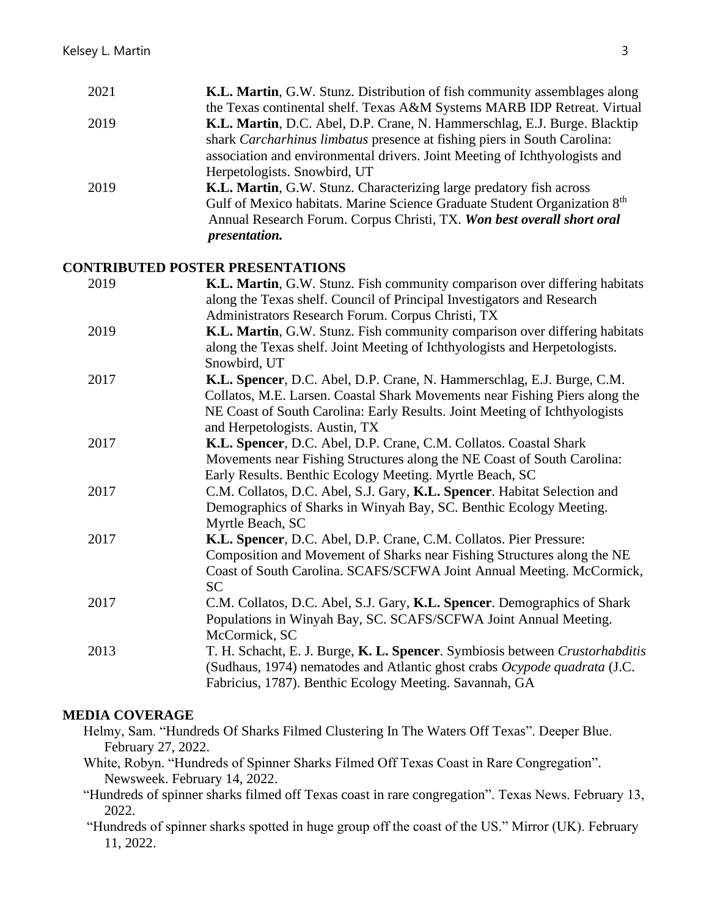| 2021 | <b>K.L. Martin, G.W. Stunz. Distribution of fish community assemblages along</b> |
|------|----------------------------------------------------------------------------------|
|      | the Texas continental shelf. Texas A&M Systems MARB IDP Retreat. Virtual         |
| 2019 | K.L. Martin, D.C. Abel, D.P. Crane, N. Hammerschlag, E.J. Burge. Blacktip        |
|      | shark Carcharhinus limbatus presence at fishing piers in South Carolina:         |
|      | association and environmental drivers. Joint Meeting of Ichthyologists and       |
|      | Herpetologists. Snowbird, UT                                                     |
| 2019 | K.L. Martin, G.W. Stunz. Characterizing large predatory fish across              |
|      | Gulf of Mexico habitats. Marine Science Graduate Student Organization 8th        |
|      | Annual Research Forum. Corpus Christi, TX. Won best overall short oral           |
|      | <i>presentation.</i>                                                             |
|      |                                                                                  |

## **CONTRIBUTED POSTER PRESENTATIONS**

| 2019 | K.L. Martin, G.W. Stunz. Fish community comparison over differing habitats<br>along the Texas shelf. Council of Principal Investigators and Research                                                                                                |
|------|-----------------------------------------------------------------------------------------------------------------------------------------------------------------------------------------------------------------------------------------------------|
| 2019 | Administrators Research Forum. Corpus Christi, TX<br>K.L. Martin, G.W. Stunz. Fish community comparison over differing habitats<br>along the Texas shelf. Joint Meeting of Ichthyologists and Herpetologists.                                       |
| 2017 | Snowbird, UT<br>K.L. Spencer, D.C. Abel, D.P. Crane, N. Hammerschlag, E.J. Burge, C.M.<br>Collatos, M.E. Larsen. Coastal Shark Movements near Fishing Piers along the<br>NE Coast of South Carolina: Early Results. Joint Meeting of Ichthyologists |
| 2017 | and Herpetologists. Austin, TX<br>K.L. Spencer, D.C. Abel, D.P. Crane, C.M. Collatos. Coastal Shark<br>Movements near Fishing Structures along the NE Coast of South Carolina:                                                                      |
| 2017 | Early Results. Benthic Ecology Meeting. Myrtle Beach, SC<br>C.M. Collatos, D.C. Abel, S.J. Gary, K.L. Spencer. Habitat Selection and<br>Demographics of Sharks in Winyah Bay, SC. Benthic Ecology Meeting.<br>Myrtle Beach, SC                      |
| 2017 | K.L. Spencer, D.C. Abel, D.P. Crane, C.M. Collatos. Pier Pressure:<br>Composition and Movement of Sharks near Fishing Structures along the NE<br>Coast of South Carolina. SCAFS/SCFWA Joint Annual Meeting. McCormick,<br><b>SC</b>                 |
| 2017 | C.M. Collatos, D.C. Abel, S.J. Gary, K.L. Spencer. Demographics of Shark<br>Populations in Winyah Bay, SC. SCAFS/SCFWA Joint Annual Meeting.<br>McCormick, SC                                                                                       |
| 2013 | T. H. Schacht, E. J. Burge, K. L. Spencer. Symbiosis between Crustorhabditis<br>(Sudhaus, 1974) nematodes and Atlantic ghost crabs Ocypode quadrata (J.C.<br>Fabricius, 1787). Benthic Ecology Meeting. Savannah, GA                                |
|      |                                                                                                                                                                                                                                                     |

## **MEDIA COVERAGE**

- Helmy, Sam. "Hundreds Of Sharks Filmed Clustering In The Waters Off Texas". Deeper Blue. February 27, 2022.
- White, Robyn. "Hundreds of Spinner Sharks Filmed Off Texas Coast in Rare Congregation". Newsweek. February 14, 2022.
- "Hundreds of spinner sharks filmed off Texas coast in rare congregation". Texas News. February 13, 2022.
- "Hundreds of spinner sharks spotted in huge group off the coast of the US." Mirror (UK). February 11, 2022.